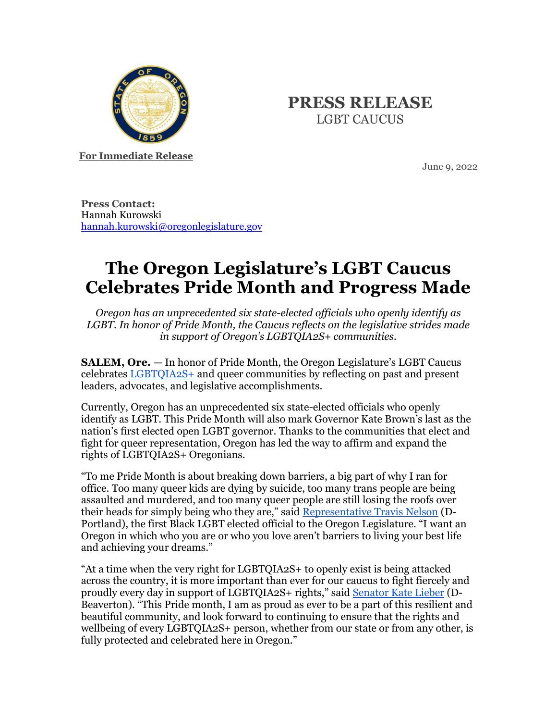

## **PRESS RELEASE** LGBT CAUCUS

**For Immediate Release**

June 9, 2022

**Press Contact:** Hannah Kurowski [hannah.kurowski@oregonlegislature.gov](mailto:hannah.kurowski@oregonlegislature.gov)

## **The Oregon Legislature's LGBT Caucus Celebrates Pride Month and Progress Made**

*Oregon has an unprecedented six state-elected officials who openly identify as LGBT. In honor of Pride Month, the Caucus reflects on the legislative strides made in support of Oregon's LGBTQIA2S+ communities.*

**SALEM, Ore.** — In honor of Pride Month, the Oregon Legislature's LGBT Caucus celebrates [LGBTQIA2S+](https://gcc02.safelinks.protection.outlook.com/?url=https%3A%2F%2Fwww.glaad.org%2Freference%2Fterms%3Fresponse_type%3Dembed%26gclid%3DCjwKCAjwtIaVBhBkEiwAsr7-c5ZTORbGwmY95THS_e4xu45VG4ohMEAWYu6pFipHOlZ7hKJXCbQ-JhoCoqIQAvD_BwE&data=05%7C01%7Channah.kurowski%40oregonlegislature.gov%7C0a84300d01324049055508da4a46de7e%7C489a9c84574a48c7b72a2450511334cc%7C1%7C0%7C637903965485262572%7CUnknown%7CTWFpbGZsb3d8eyJWIjoiMC4wLjAwMDAiLCJQIjoiV2luMzIiLCJBTiI6Ik1haWwiLCJXVCI6Mn0%3D%7C3000%7C%7C%7C&sdata=44%2F2lac4mMfjY6hLlCZnP71iyQMVEDBHG5xeq5sg37E%3D&reserved=0) and queer communities by reflecting on past and present leaders, advocates, and legislative accomplishments.

Currently, Oregon has an unprecedented six state-elected officials who openly identify as LGBT. This Pride Month will also mark Governor Kate Brown's last as the nation's first elected open LGBT governor. Thanks to the communities that elect and fight for queer representation, Oregon has led the way to affirm and expand the rights of LGBTQIA2S+ Oregonians.

"To me Pride Month is about breaking down barriers, a big part of why I ran for office. Too many queer kids are dying by suicide, too many trans people are being assaulted and murdered, and too many queer people are still losing the roofs over their heads for simply being who they are," said [Representative Travis Nelson](https://www.oregonlegislature.gov/nelson) (D-Portland), the first Black LGBT elected official to the Oregon Legislature. "I want an Oregon in which who you are or who you love aren't barriers to living your best life and achieving your dreams."

"At a time when the very right for LGBTQIA2S+ to openly exist is being attacked across the country, it is more important than ever for our caucus to fight fiercely and proudly every day in support of LGBTQIA2S+ rights," said [Senator Kate Lieber](https://www.oregonlegislature.gov/lieber) (D-Beaverton). "This Pride month, I am as proud as ever to be a part of this resilient and beautiful community, and look forward to continuing to ensure that the rights and wellbeing of every LGBTQIA2S+ person, whether from our state or from any other, is fully protected and celebrated here in Oregon."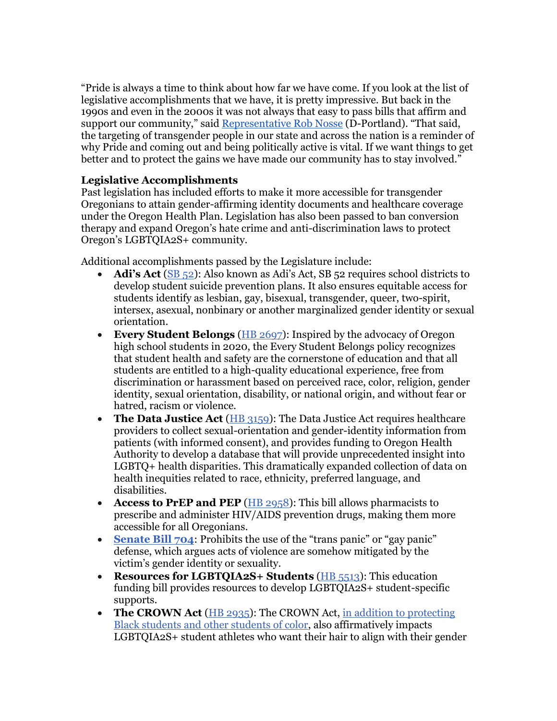"Pride is always a time to think about how far we have come. If you look at the list of legislative accomplishments that we have, it is pretty impressive. But back in the 1990s and even in the 2000s it was not always that easy to pass bills that affirm and support our community," said [Representative Rob Nosse](https://www.oregonlegislature.gov/nosse) (D-Portland). "That said, the targeting of transgender people in our state and across the nation is a reminder of why Pride and coming out and being politically active is vital. If we want things to get better and to protect the gains we have made our community has to stay involved."

## **Legislative Accomplishments**

Past legislation has included efforts to make it more accessible for transgender Oregonians to attain gender-affirming identity documents and healthcare coverage under the Oregon Health Plan. Legislation has also been passed to ban conversion therapy and expand Oregon's hate crime and anti-discrimination laws to protect Oregon's LGBTQIA2S+ community.

Additional accomplishments passed by the Legislature include:

- **Adi's Act** [\(SB 52](https://olis.oregonlegislature.gov/liz/2021R1/Measures/Overview/SB52)): Also known as Adi's Act, SB 52 requires school districts to develop student suicide prevention plans. It also ensures equitable access for students identify as lesbian, gay, bisexual, transgender, queer, two-spirit, intersex, asexual, nonbinary or another marginalized gender identity or sexual orientation.
- **Every Student Belongs** [\(HB 2697\)](https://gcc02.safelinks.protection.outlook.com/?url=https%3A%2F%2Fwww.oregon.gov%2Fode%2Fstudents-and-family%2Fequity%2FSchoolSafety%2FPages%2FEveryStudentBelongs.aspx&data=05%7C01%7Channah.kurowski%40oregonlegislature.gov%7C0a84300d01324049055508da4a46de7e%7C489a9c84574a48c7b72a2450511334cc%7C1%7C0%7C637903965485262572%7CUnknown%7CTWFpbGZsb3d8eyJWIjoiMC4wLjAwMDAiLCJQIjoiV2luMzIiLCJBTiI6Ik1haWwiLCJXVCI6Mn0%3D%7C3000%7C%7C%7C&sdata=LAROiAt8M90GegrJCj0tmIGOdMRgpplUw5RpPlfxEok%3D&reserved=0): Inspired by the advocacy of Oregon high school students in 2020, the Every Student Belongs policy recognizes that student health and safety are the cornerstone of education and that all students are entitled to a high-quality educational experience, free from discrimination or harassment based on perceived race, color, religion, gender identity, sexual orientation, disability, or national origin, and without fear or hatred, racism or violence.
- **The Data Justice Act** [\(HB 3159\)](https://olis.oregonlegislature.gov/liz/2021R1/Measures/Overview/HB3159): The Data Justice Act requires healthcare providers to collect sexual-orientation and gender-identity information from patients (with informed consent), and provides funding to Oregon Health Authority to develop a database that will provide unprecedented insight into LGBTQ+ health disparities. This dramatically expanded collection of data on health inequities related to race, ethnicity, preferred language, and disabilities.
- **Access to PrEP and PEP** [\(HB 2958\)](https://olis.oregonlegislature.gov/liz/2021R1/Measures/Overview/HB2958): This bill allows pharmacists to prescribe and administer HIV/AIDS prevention drugs, making them more accessible for all Oregonians.
- **[Senate Bill 704](https://olis.oregonlegislature.gov/liz/2021R1/Measures/Overview/SB704):** Prohibits the use of the "trans panic" or "gay panic" defense, which argues acts of violence are somehow mitigated by the victim's gender identity or sexuality.
- **Resources for LGBTQIA2S+ Students** [\(HB 5513\)](https://olis.oregonlegislature.gov/liz/2021R1/Measures/Overview/SB5513): This education funding bill provides resources to develop LGBTQIA2S+ student-specific supports.
- **The CROWN Act** [\(HB 2935\)](https://olis.oregonlegislature.gov/liz/2021R1/Measures/Overview/HB2935): The CROWN Act, in addition to protecting [Black students and other students of color,](https://www.oregonlegislature.gov/housedemocrats/Documents/PRESS%20RELEASE%20House%20Democrats%20Pass%20Legislation%20Banning%20Race-Based%20Hairstyle%20Discrimination.pdf) also affirmatively impacts LGBTQIA2S+ student athletes who want their hair to align with their gender